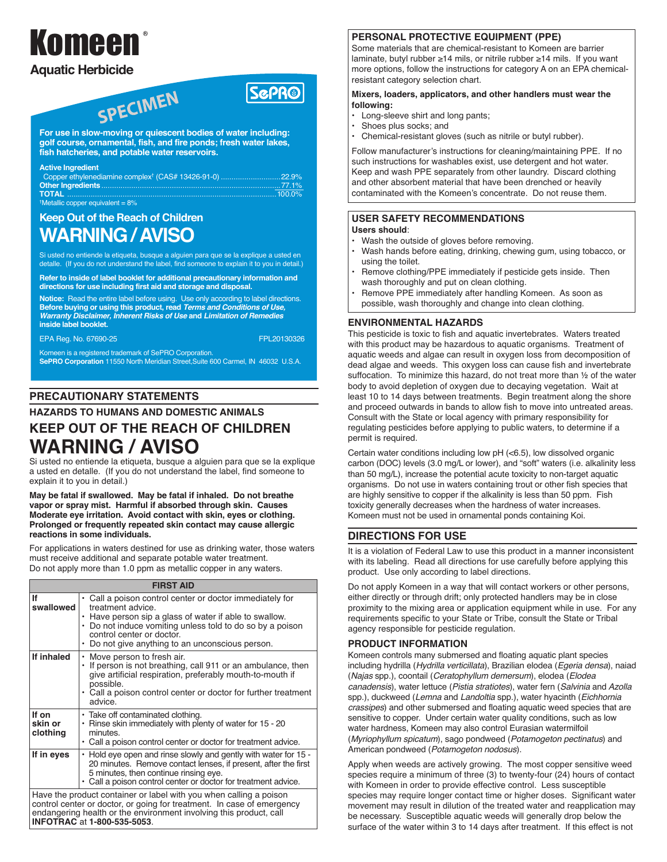# Komeen

# **Aquatic Herbicide**

# **ScPR®**

**For use in slow-moving or quiescent bodies of water including: golf course, ornamental, fish, and fire ponds; fresh water lakes, fish hatcheries, and potable water reservoirs.** 

SPECIMEN

#### **Active Ingredient**

| Copper ethylenediamine complex <sup>†</sup> (CAS# 13426-91-0) 22.9% |  |
|---------------------------------------------------------------------|--|
|                                                                     |  |
| <b>TOTAL</b> ……………………………………………………………………………………100.0%                 |  |
| <sup>†</sup> Metallic copper equivalent = $8\%$                     |  |

# **Keep Out of the Reach of Children WARNING / AVISO**

Si usted no entiende la etiqueta, busque a alguien para que se la explique a usted en detalle. (If you do not understand the label, find someone to explain it to you in detail.)

**Refer to inside of label booklet for additional precautionary information and directions for use including first aid and storage and disposal.**

**Notice:** Read the entire label before using. Use only according to label directions. **Before buying or using this product, read Terms and Conditions of Use, Warranty Disclaimer, Inherent Risks of Use and Limitation of Remedies inside label booklet.**

EPA Reg. No. 67690-25 FPL20130326

Komeen is a registered trademark of SePRO Corporation.

**SePRO Corporation** 11550 North Meridian Street,Suite 600 Carmel, IN 46032 U.S.A.

# **PRECAUTIONARY STATEMENTS**

## **HAZARDS TO HUMANS AND DOMESTIC ANIMALS**

# **KEEP OUT OF THE REACH OF CHILDREN WARNING / AVISO**

Si usted no entiende la etiqueta, busque a alguien para que se la explique a usted en detalle. (If you do not understand the label, find someone to explain it to you in detail.)

**May be fatal if swallowed. May be fatal if inhaled. Do not breathe vapor or spray mist. Harmful if absorbed through skin. Causes Moderate eye irritation. Avoid contact with skin, eyes or clothing. Prolonged or frequently repeated skin contact may cause allergic reactions in some individuals.**

For applications in waters destined for use as drinking water, those waters must receive additional and separate potable water treatment. Do not apply more than 1.0 ppm as metallic copper in any waters.

| <b>FIRST AID</b>                                                                                                                                                                                                                                         |                                                                                                                                                                                                                                                                                       |  |  |
|----------------------------------------------------------------------------------------------------------------------------------------------------------------------------------------------------------------------------------------------------------|---------------------------------------------------------------------------------------------------------------------------------------------------------------------------------------------------------------------------------------------------------------------------------------|--|--|
| If<br>swallowed                                                                                                                                                                                                                                          | • Call a poison control center or doctor immediately for<br>treatment advice.<br>• Have person sip a glass of water if able to swallow.<br>• Do not induce vomiting unless told to do so by a poison<br>control center or doctor.<br>• Do not give anything to an unconscious person. |  |  |
| If inhaled                                                                                                                                                                                                                                               | • Move person to fresh air.<br>If person is not breathing, call 911 or an ambulance, then<br>۰<br>give artificial respiration, preferably mouth-to-mouth if<br>possible.<br>• Call a poison control center or doctor for further treatment<br>advice                                  |  |  |
| If on<br>skin or<br>clothing                                                                                                                                                                                                                             | • Take off contaminated clothing.<br>Rinse skin immediately with plenty of water for 15 - 20<br>۰<br>minutes.<br>• Call a poison control center or doctor for treatment advice.                                                                                                       |  |  |
| If in eyes                                                                                                                                                                                                                                               | • Hold eye open and rinse slowly and gently with water for 15 -<br>20 minutes. Remove contact lenses, if present, after the first<br>5 minutes, then continue rinsing eye.<br>• Call a poison control center or doctor for treatment advice.                                          |  |  |
| Have the product container or label with you when calling a poison<br>control center or doctor, or going for treatment. In case of emergency<br>endangering health or the environment involving this product, call<br><b>INFOTRAC at 1-800-535-5053.</b> |                                                                                                                                                                                                                                                                                       |  |  |

## **PERSONAL PROTECTIVE EQUIPMENT (PPE)**

Some materials that are chemical-resistant to Komeen are barrier laminate, butyl rubber ≥14 mils, or nitrile rubber ≥14 mils. If you want more options, follow the instructions for category A on an EPA chemicalresistant category selection chart.

#### **Mixers, loaders, applicators, and other handlers must wear the following:**

- **•** Long-sleeve shirt and long pants;
- Shoes plus socks; and
- Chemical-resistant gloves (such as nitrile or butyl rubber).

Follow manufacturer's instructions for cleaning/maintaining PPE. If no such instructions for washables exist, use detergent and hot water. Keep and wash PPE separately from other laundry. Discard clothing and other absorbent material that have been drenched or heavily contaminated with the Komeen's concentrate. Do not reuse them.

#### **USER SAFETY RECOMMENDATIONS Users should**:

- Wash the outside of gloves before removing.
- Wash hands before eating, drinking, chewing gum, using tobacco, or using the toilet.
- Remove clothing/PPE immediately if pesticide gets inside. Then wash thoroughly and put on clean clothing.
- Remove PPE immediately after handling Komeen. As soon as possible, wash thoroughly and change into clean clothing.

## **ENVIRONMENTAL HAZARDS**

This pesticide is toxic to fish and aquatic invertebrates. Waters treated with this product may be hazardous to aquatic organisms. Treatment of aquatic weeds and algae can result in oxygen loss from decomposition of dead algae and weeds. This oxygen loss can cause fish and invertebrate suffocation. To minimize this hazard, do not treat more than ½ of the water body to avoid depletion of oxygen due to decaying vegetation. Wait at least 10 to 14 days between treatments. Begin treatment along the shore and proceed outwards in bands to allow fish to move into untreated areas. Consult with the State or local agency with primary responsibility for regulating pesticides before applying to public waters, to determine if a permit is required.

Certain water conditions including low pH (<6.5), low dissolved organic carbon (DOC) levels (3.0 mg/L or lower), and "soft" waters (i.e. alkalinity less than 50 mg/L), increase the potential acute toxicity to non-target aquatic organisms. Do not use in waters containing trout or other fish species that are highly sensitive to copper if the alkalinity is less than 50 ppm. Fish toxicity generally decreases when the hardness of water increases. Komeen must not be used in ornamental ponds containing Koi.

# **DIRECTIONS FOR USE**

It is a violation of Federal Law to use this product in a manner inconsistent with its labeling. Read all directions for use carefully before applying this product. Use only according to label directions.

Do not apply Komeen in a way that will contact workers or other persons, either directly or through drift; only protected handlers may be in close proximity to the mixing area or application equipment while in use. For any requirements specific to your State or Tribe, consult the State or Tribal agency responsible for pesticide regulation.

#### **PRODUCT INFORMATION**

Komeen controls many submersed and floating aquatic plant species including hydrilla (*Hydrilla verticillata*), Brazilian elodea (*Egeria densa*), naiad (*Najas* spp.), coontail (*Ceratophyllum demersum*), elodea (*Elodea canadensis*), water lettuce (*Pistia stratiotes*), water fern (*Salvinia* and *Azolla* spp.), duckweed (*Lemna* and *Landoltia* spp.), water hyacinth (*Eichhornia crassipes*) and other submersed and floating aquatic weed species that are sensitive to copper. Under certain water quality conditions, such as low water hardness, Komeen may also control Eurasian watermilfoil (*Myriophyllum spicatum*), sago pondweed (*Potamogeton pectinatus*) and American pondweed (*Potamogeton nodosus*).

Apply when weeds are actively growing. The most copper sensitive weed species require a minimum of three (3) to twenty-four (24) hours of contact with Komeen in order to provide effective control. Less susceptible species may require longer contact time or higher doses. Significant water movement may result in dilution of the treated water and reapplication may be necessary. Susceptible aquatic weeds will generally drop below the surface of the water within 3 to 14 days after treatment. If this effect is not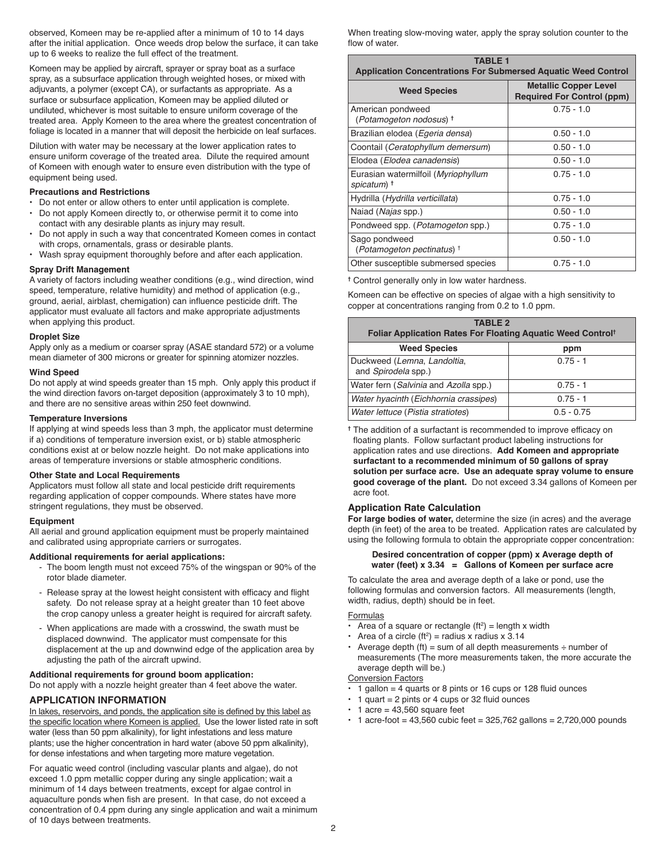observed, Komeen may be re-applied after a minimum of 10 to 14 days after the initial application. Once weeds drop below the surface, it can take up to 6 weeks to realize the full effect of the treatment.

Komeen may be applied by aircraft, sprayer or spray boat as a surface spray, as a subsurface application through weighted hoses, or mixed with adjuvants, a polymer (except CA), or surfactants as appropriate. As a surface or subsurface application, Komeen may be applied diluted or undiluted, whichever is most suitable to ensure uniform coverage of the treated area. Apply Komeen to the area where the greatest concentration of foliage is located in a manner that will deposit the herbicide on leaf surfaces.

Dilution with water may be necessary at the lower application rates to ensure uniform coverage of the treated area. Dilute the required amount of Komeen with enough water to ensure even distribution with the type of equipment being used.

#### **Precautions and Restrictions**

- Do not enter or allow others to enter until application is complete.
- Do not apply Komeen directly to, or otherwise permit it to come into contact with any desirable plants as injury may result.
- Do not apply in such a way that concentrated Komeen comes in contact with crops, ornamentals, grass or desirable plants.
- Wash spray equipment thoroughly before and after each application.

#### **Spray Drift Management**

A variety of factors including weather conditions (e.g., wind direction, wind speed, temperature, relative humidity) and method of application (e.g., ground, aerial, airblast, chemigation) can influence pesticide drift. The applicator must evaluate all factors and make appropriate adjustments when applying this product.

#### **Droplet Size**

Apply only as a medium or coarser spray (ASAE standard 572) or a volume mean diameter of 300 microns or greater for spinning atomizer nozzles.

#### **Wind Speed**

Do not apply at wind speeds greater than 15 mph. Only apply this product if the wind direction favors on-target deposition (approximately 3 to 10 mph), and there are no sensitive areas within 250 feet downwind.

#### **Temperature Inversions**

If applying at wind speeds less than 3 mph, the applicator must determine if a) conditions of temperature inversion exist, or b) stable atmospheric conditions exist at or below nozzle height. Do not make applications into areas of temperature inversions or stable atmospheric conditions.

#### **Other State and Local Requirements**

Applicators must follow all state and local pesticide drift requirements regarding application of copper compounds. Where states have more stringent regulations, they must be observed.

#### **Equipment**

All aerial and ground application equipment must be properly maintained and calibrated using appropriate carriers or surrogates.

#### **Additional requirements for aerial applications:**

- The boom length must not exceed 75% of the wingspan or 90% of the rotor blade diameter.
- Release spray at the lowest height consistent with efficacy and flight safety. Do not release spray at a height greater than 10 feet above the crop canopy unless a greater height is required for aircraft safety.
- When applications are made with a crosswind, the swath must be displaced downwind. The applicator must compensate for this displacement at the up and downwind edge of the application area by adjusting the path of the aircraft upwind.

#### **Additional requirements for ground boom application:**

Do not apply with a nozzle height greater than 4 feet above the water.

#### **APPLICATION INFORMATION**

In lakes, reservoirs, and ponds, the application site is defined by this label as the specific location where Komeen is applied. Use the lower listed rate in soft water (less than 50 ppm alkalinity), for light infestations and less mature plants; use the higher concentration in hard water (above 50 ppm alkalinity), for dense infestations and when targeting more mature vegetation.

For aquatic weed control (including vascular plants and algae), do not exceed 1.0 ppm metallic copper during any single application; wait a minimum of 14 days between treatments, except for algae control in aquaculture ponds when fish are present. In that case, do not exceed a concentration of 0.4 ppm during any single application and wait a minimum of 10 days between treatments.

When treating slow-moving water, apply the spray solution counter to the flow of water.

| <b>TABLE 1</b><br><b>Application Concentrations For Submersed Aquatic Weed Control</b> |                                                                   |  |  |
|----------------------------------------------------------------------------------------|-------------------------------------------------------------------|--|--|
| <b>Weed Species</b>                                                                    | <b>Metallic Copper Level</b><br><b>Required For Control (ppm)</b> |  |  |
| American pondweed<br>(Potamogeton nodosus) +                                           | $0.75 - 1.0$                                                      |  |  |
| Brazilian elodea (Egeria densa)                                                        | $0.50 - 1.0$                                                      |  |  |
| Coontail (Ceratophyllum demersum)                                                      | $0.50 - 1.0$                                                      |  |  |
| Elodea (Elodea canadensis)                                                             | $0.50 - 1.0$                                                      |  |  |
| Eurasian watermilfoil (Myriophyllum<br>spicatum) <sup>†</sup>                          | $0.75 - 1.0$                                                      |  |  |
| Hydrilla (Hydrilla verticillata)                                                       | $0.75 - 1.0$                                                      |  |  |
| Naiad ( <i>Najas</i> spp.)                                                             | $0.50 - 1.0$                                                      |  |  |
| Pondweed spp. (Potamogeton spp.)                                                       | $0.75 - 1.0$                                                      |  |  |
| Sago pondweed<br>(Potamogeton pectinatus) <sup>†</sup>                                 | $0.50 - 1.0$                                                      |  |  |
| Other susceptible submersed species                                                    | $0.75 - 1.0$                                                      |  |  |

**†** Control generally only in low water hardness.

Komeen can be effective on species of algae with a high sensitivity to copper at concentrations ranging from 0.2 to 1.0 ppm.

| <b>TABLE 2</b><br><b>Foliar Application Rates For Floating Aquatic Weed Controlt</b> |              |  |  |
|--------------------------------------------------------------------------------------|--------------|--|--|
| <b>Weed Species</b>                                                                  | ppm          |  |  |
| Duckweed (Lemna, Landoltia,<br>and Spirodela spp.)                                   | $0.75 - 1$   |  |  |
| Water fern (Salvinia and Azolla spp.)                                                | $0.75 - 1$   |  |  |
| Water hyacinth (Eichhornia crassipes)                                                | $0.75 - 1$   |  |  |
| Water lettuce (Pistia stratiotes)                                                    | $0.5 - 0.75$ |  |  |

**†** The addition of a surfactant is recommended to improve efficacy on floating plants. Follow surfactant product labeling instructions for application rates and use directions. **Add Komeen and appropriate surfactant to a recommended minimum of 50 gallons of spray solution per surface acre. Use an adequate spray volume to ensure good coverage of the plant.** Do not exceed 3.34 gallons of Komeen per acre foot.

#### **Application Rate Calculation**

**For large bodies of water,** determine the size (in acres) and the average depth (in feet) of the area to be treated. Application rates are calculated by using the following formula to obtain the appropriate copper concentration:

#### **Desired concentration of copper (ppm) x Average depth of water (feet) x 3.34 = Gallons of Komeen per surface acre**

To calculate the area and average depth of a lake or pond, use the following formulas and conversion factors. All measurements (length, width, radius, depth) should be in feet.

#### **Formulas**

- Area of a square or rectangle  $(ft^2)$  = length x width
- Area of a circle (ft<sup>2</sup>) = radius x radius x 3.14
- Average depth (ft) = sum of all depth measurements  $\div$  number of measurements (The more measurements taken, the more accurate the average depth will be.)

#### Conversion Factors

- 1 gallon = 4 quarts or 8 pints or 16 cups or 128 fluid ounces
- 1 quart = 2 pints or 4 cups or 32 fluid ounces
- $\cdot$  1 acre = 43,560 square feet
- $\cdot$  1 acre-foot = 43,560 cubic feet = 325,762 gallons = 2,720,000 pounds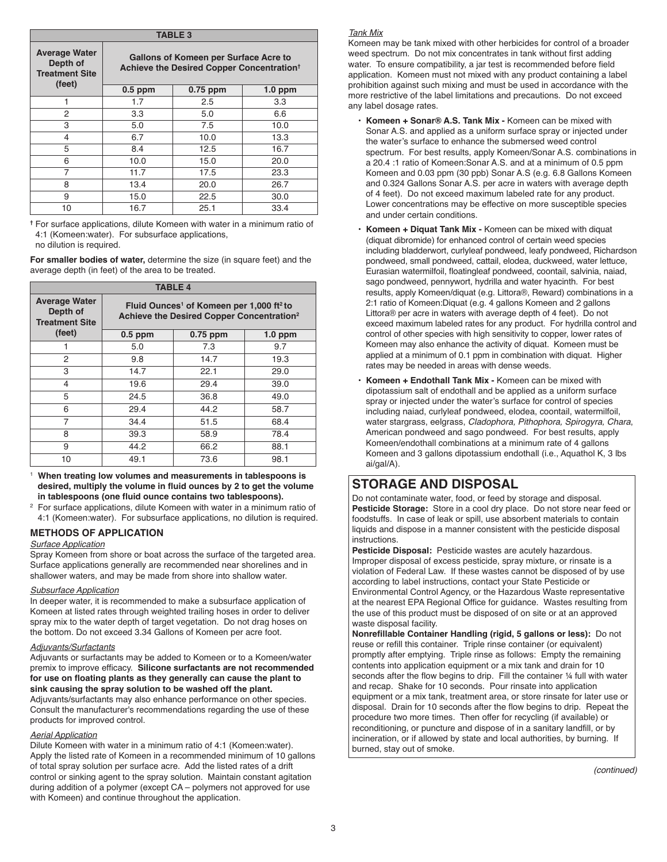| <b>TABLE 3</b>                                            |                                                                                                |            |           |  |  |
|-----------------------------------------------------------|------------------------------------------------------------------------------------------------|------------|-----------|--|--|
| <b>Average Water</b><br>Depth of<br><b>Treatment Site</b> | Gallons of Komeen per Surface Acre to<br>Achieve the Desired Copper Concentration <sup>t</sup> |            |           |  |  |
| (feet)                                                    | $0.5$ ppm                                                                                      | $0.75$ ppm | $1.0$ ppm |  |  |
| 1                                                         | 1.7                                                                                            | 2.5        | 3.3       |  |  |
| $\overline{2}$                                            | 3.3                                                                                            | 5.0        | 6.6       |  |  |
| 3                                                         | 5.0                                                                                            | 7.5        | 10.0      |  |  |
| 4                                                         | 6.7                                                                                            | 10.0       | 13.3      |  |  |
| 5                                                         | 8.4                                                                                            | 12.5       | 16.7      |  |  |
| 6                                                         | 10.0                                                                                           | 15.0       | 20.0      |  |  |
| 7                                                         | 11.7                                                                                           | 17.5       | 23.3      |  |  |
| 8                                                         | 13.4                                                                                           | 20.0       | 26.7      |  |  |
| 9                                                         | 15.0                                                                                           | 22.5       | 30.0      |  |  |
| 10                                                        | 16.7                                                                                           | 25.1       | 33.4      |  |  |

**†** For surface applications, dilute Komeen with water in a minimum ratio of 4:1 (Komeen:water). For subsurface applications, no dilution is required.

**For smaller bodies of water,** determine the size (in square feet) and the average depth (in feet) of the area to be treated.

| <b>TABLE 4</b>                                            |                                                                                                                           |            |           |  |
|-----------------------------------------------------------|---------------------------------------------------------------------------------------------------------------------------|------------|-----------|--|
| <b>Average Water</b><br>Depth of<br><b>Treatment Site</b> | Fluid Ounces <sup>1</sup> of Komeen per 1,000 ft <sup>2</sup> to<br>Achieve the Desired Copper Concentration <sup>2</sup> |            |           |  |
| (feet)                                                    | $0.5$ ppm                                                                                                                 | $0.75$ ppm | $1.0$ ppm |  |
|                                                           | 5.0                                                                                                                       | 7.3        | 9.7       |  |
| 2                                                         | 9.8                                                                                                                       | 14.7       | 19.3      |  |
| 3                                                         | 14.7                                                                                                                      | 22.1       | 29.0      |  |
| 4                                                         | 19.6                                                                                                                      | 29.4       | 39.0      |  |
| 5                                                         | 24.5                                                                                                                      | 36.8       | 49.0      |  |
| 6                                                         | 29.4                                                                                                                      | 44.2       | 58.7      |  |
| $\overline{7}$                                            | 34.4                                                                                                                      | 51.5       | 68.4      |  |
| 8                                                         | 39.3                                                                                                                      | 58.9       | 78.4      |  |
| 9                                                         | 44.2                                                                                                                      | 66.2       | 88.1      |  |
| 10                                                        | 49.1                                                                                                                      | 73.6       | 98.1      |  |

<sup>1</sup> **When treating low volumes and measurements in tablespoons is desired, multiply the volume in fluid ounces by 2 to get the volume in tablespoons (one fluid ounce contains two tablespoons).**

<sup>2</sup> For surface applications, dilute Komeen with water in a minimum ratio of 4:1 (Komeen:water). For subsurface applications, no dilution is required.

## **METHODS OF APPLICATION**

#### *Surface Application*

Spray Komeen from shore or boat across the surface of the targeted area. Surface applications generally are recommended near shorelines and in shallower waters, and may be made from shore into shallow water.

#### *Subsurface Application*

In deeper water, it is recommended to make a subsurface application of Komeen at listed rates through weighted trailing hoses in order to deliver spray mix to the water depth of target vegetation. Do not drag hoses on the bottom. Do not exceed 3.34 Gallons of Komeen per acre foot.

#### *Adjuvants/Surfactants*

Adjuvants or surfactants may be added to Komeen or to a Komeen/water premix to improve efficacy. **Silicone surfactants are not recommended for use on floating plants as they generally can cause the plant to sink causing the spray solution to be washed off the plant.** Adjuvants/surfactants may also enhance performance on other species.

Consult the manufacturer's recommendations regarding the use of these products for improved control.

#### *Aerial Application*

Dilute Komeen with water in a minimum ratio of 4:1 (Komeen:water). Apply the listed rate of Komeen in a recommended minimum of 10 gallons of total spray solution per surface acre. Add the listed rates of a drift control or sinking agent to the spray solution. Maintain constant agitation during addition of a polymer (except CA – polymers not approved for use with Komeen) and continue throughout the application.

### *Tank Mix*

Komeen may be tank mixed with other herbicides for control of a broader weed spectrum. Do not mix concentrates in tank without first adding water. To ensure compatibility, a jar test is recommended before field application. Komeen must not mixed with any product containing a label prohibition against such mixing and must be used in accordance with the more restrictive of the label limitations and precautions. Do not exceed any label dosage rates.

- **Komeen + Sonar® A.S. Tank Mix -** Komeen can be mixed with Sonar A.S. and applied as a uniform surface spray or injected under the water's surface to enhance the submersed weed control spectrum. For best results, apply Komeen/Sonar A.S. combinations in a 20.4 :1 ratio of Komeen:Sonar A.S. and at a minimum of 0.5 ppm Komeen and 0.03 ppm (30 ppb) Sonar A.S (e.g. 6.8 Gallons Komeen and 0.324 Gallons Sonar A.S. per acre in waters with average depth of 4 feet). Do not exceed maximum labeled rate for any product. Lower concentrations may be effective on more susceptible species and under certain conditions.
- **Komeen + Diquat Tank Mix** Komeen can be mixed with diquat (diquat dibromide) for enhanced control of certain weed species including bladderwort, curlyleaf pondweed, leafy pondweed, Richardson pondweed, small pondweed, cattail, elodea, duckweed, water lettuce, Eurasian watermilfoil, floatingleaf pondweed, coontail, salvinia, naiad, sago pondweed, pennywort, hydrilla and water hyacinth. For best results, apply Komeen/diquat (e.g. Littora®, Reward) combinations in a 2:1 ratio of Komeen:Diquat (e.g. 4 gallons Komeen and 2 gallons Littora® per acre in waters with average depth of 4 feet). Do not exceed maximum labeled rates for any product. For hydrilla control and control of other species with high sensitivity to copper, lower rates of Komeen may also enhance the activity of diquat. Komeen must be applied at a minimum of 0.1 ppm in combination with diquat. Higher rates may be needed in areas with dense weeds.
- **Komeen + Endothall Tank Mix -** Komeen can be mixed with dipotassium salt of endothall and be applied as a uniform surface spray or injected under the water's surface for control of species including naiad, curlyleaf pondweed, elodea, coontail, watermilfoil, water stargrass, eelgrass, *Cladophora, Pithophora, Spirogyra, Chara*, American pondweed and sago pondweed. For best results, apply Komeen/endothall combinations at a minimum rate of 4 gallons Komeen and 3 gallons dipotassium endothall (i.e., Aquathol K, 3 lbs ai/gal/A).

# **STORAGE AND DISPOSAL**

Do not contaminate water, food, or feed by storage and disposal. **Pesticide Storage:** Store in a cool dry place. Do not store near feed or foodstuffs. In case of leak or spill, use absorbent materials to contain liquids and dispose in a manner consistent with the pesticide disposal instructions.

**Pesticide Disposal:** Pesticide wastes are acutely hazardous. Improper disposal of excess pesticide, spray mixture, or rinsate is a violation of Federal Law. If these wastes cannot be disposed of by use according to label instructions, contact your State Pesticide or Environmental Control Agency, or the Hazardous Waste representative at the nearest EPA Regional Office for guidance. Wastes resulting from the use of this product must be disposed of on site or at an approved waste disposal facility.

**Nonrefillable Container Handling (rigid, 5 gallons or less):** Do not reuse or refill this container. Triple rinse container (or equivalent) promptly after emptying. Triple rinse as follows: Empty the remaining contents into application equipment or a mix tank and drain for 10 seconds after the flow begins to drip. Fill the container 1/4 full with water and recap. Shake for 10 seconds. Pour rinsate into application equipment or a mix tank, treatment area, or store rinsate for later use or disposal. Drain for 10 seconds after the flow begins to drip. Repeat the procedure two more times. Then offer for recycling (if available) or reconditioning, or puncture and dispose of in a sanitary landfill, or by incineration, or if allowed by state and local authorities, by burning. If burned, stay out of smoke.

*(continued)*